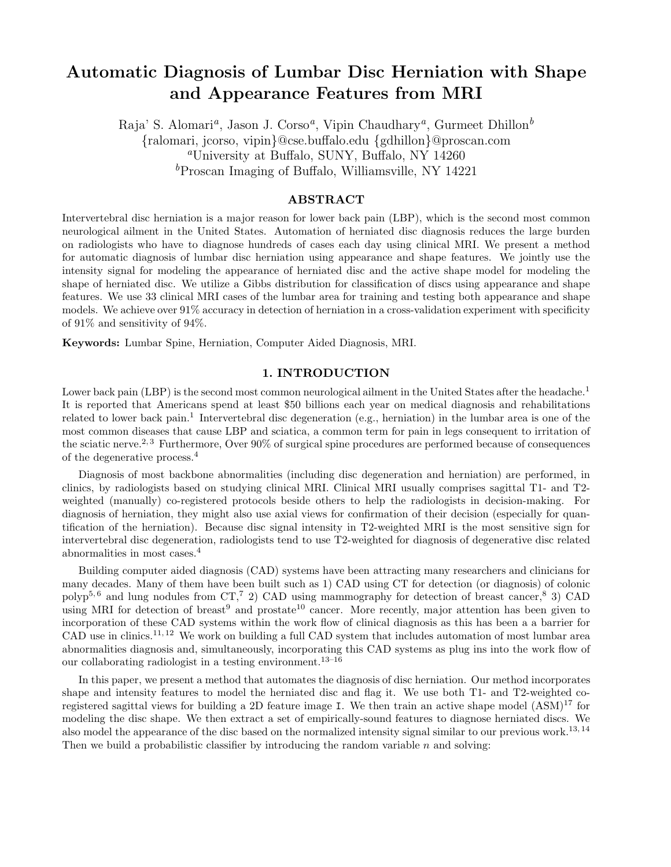# Automatic Diagnosis of Lumbar Disc Herniation with Shape and Appearance Features from MRI

Raja' S. Alomari<sup>a</sup>, Jason J. Corso<sup>a</sup>, Vipin Chaudhary<sup>a</sup>, Gurmeet Dhillon<sup>b</sup> {ralomari, jcorso, vipin}@cse.buffalo.edu {gdhillon}@proscan.com <sup>a</sup>University at Buffalo, SUNY, Buffalo, NY 14260  ${}^b$ Proscan Imaging of Buffalo, Williamsville, NY 14221

## ABSTRACT

Intervertebral disc herniation is a major reason for lower back pain (LBP), which is the second most common neurological ailment in the United States. Automation of herniated disc diagnosis reduces the large burden on radiologists who have to diagnose hundreds of cases each day using clinical MRI. We present a method for automatic diagnosis of lumbar disc herniation using appearance and shape features. We jointly use the intensity signal for modeling the appearance of herniated disc and the active shape model for modeling the shape of herniated disc. We utilize a Gibbs distribution for classification of discs using appearance and shape features. We use 33 clinical MRI cases of the lumbar area for training and testing both appearance and shape models. We achieve over 91% accuracy in detection of herniation in a cross-validation experiment with specificity of 91% and sensitivity of 94%.

Keywords: Lumbar Spine, Herniation, Computer Aided Diagnosis, MRI.

## 1. INTRODUCTION

Lower back pain (LBP) is the second most common neurological ailment in the United States after the headache.<sup>1</sup> It is reported that Americans spend at least \$50 billions each year on medical diagnosis and rehabilitations related to lower back pain.<sup>1</sup> Intervertebral disc degeneration (e.g., herniation) in the lumbar area is one of the most common diseases that cause LBP and sciatica, a common term for pain in legs consequent to irritation of the sciatic nerve.<sup>2, 3</sup> Furthermore, Over  $90\%$  of surgical spine procedures are performed because of consequences of the degenerative process.<sup>4</sup>

Diagnosis of most backbone abnormalities (including disc degeneration and herniation) are performed, in clinics, by radiologists based on studying clinical MRI. Clinical MRI usually comprises sagittal T1- and T2 weighted (manually) co-registered protocols beside others to help the radiologists in decision-making. For diagnosis of herniation, they might also use axial views for confirmation of their decision (especially for quantification of the herniation). Because disc signal intensity in T2-weighted MRI is the most sensitive sign for intervertebral disc degeneration, radiologists tend to use T2-weighted for diagnosis of degenerative disc related abnormalities in most cases.<sup>4</sup>

Building computer aided diagnosis (CAD) systems have been attracting many researchers and clinicians for many decades. Many of them have been built such as 1) CAD using CT for detection (or diagnosis) of colonic polyp<sup>5, 6</sup> and lung nodules from  $CT<sub>1</sub>$ <sup>7</sup> 2) CAD using mammography for detection of breast cancer,<sup>8</sup> 3) CAD using MRI for detection of breast<sup>9</sup> and prostate<sup>10</sup> cancer. More recently, major attention has been given to incorporation of these CAD systems within the work flow of clinical diagnosis as this has been a a barrier for CAD use in clinics.11, 12 We work on building a full CAD system that includes automation of most lumbar area abnormalities diagnosis and, simultaneously, incorporating this CAD systems as plug ins into the work flow of our collaborating radiologist in a testing environment.13–16

In this paper, we present a method that automates the diagnosis of disc herniation. Our method incorporates shape and intensity features to model the herniated disc and flag it. We use both T1- and T2-weighted coregistered sagittal views for building a 2D feature image I. We then train an active shape model (ASM)<sup>17</sup> for modeling the disc shape. We then extract a set of empirically-sound features to diagnose herniated discs. We also model the appearance of the disc based on the normalized intensity signal similar to our previous work.<sup>13, 14</sup> Then we build a probabilistic classifier by introducing the random variable  $n$  and solving: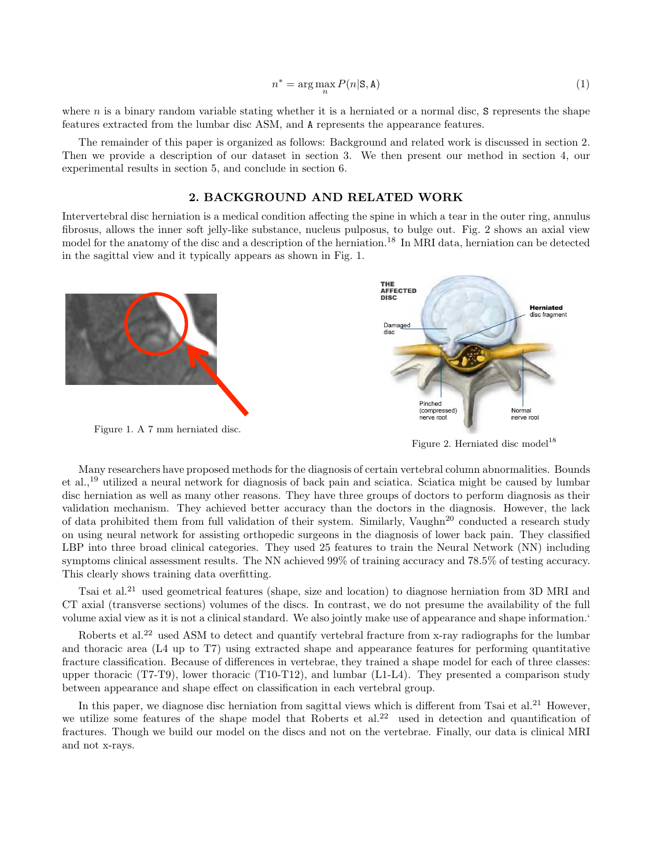$$
n^* = \arg\max_n P(n|\mathbf{S}, \mathbf{A})\tag{1}
$$

where n is a binary random variable stating whether it is a herniated or a normal disc,  $S$  represents the shape features extracted from the lumbar disc ASM, and A represents the appearance features.

The remainder of this paper is organized as follows: Background and related work is discussed in section 2. Then we provide a description of our dataset in section 3. We then present our method in section 4, our experimental results in section 5, and conclude in section 6.

#### 2. BACKGROUND AND RELATED WORK

Intervertebral disc herniation is a medical condition affecting the spine in which a tear in the outer ring, annulus fibrosus, allows the inner soft jelly-like substance, nucleus pulposus, to bulge out. Fig. 2 shows an axial view model for the anatomy of the disc and a description of the herniation.<sup>18</sup> In MRI data, herniation can be detected in the sagittal view and it typically appears as shown in Fig. 1.



Figure 2. Herniated disc model<sup>18</sup>

Many researchers have proposed methods for the diagnosis of certain vertebral column abnormalities. Bounds et al.,<sup>19</sup> utilized a neural network for diagnosis of back pain and sciatica. Sciatica might be caused by lumbar disc herniation as well as many other reasons. They have three groups of doctors to perform diagnosis as their validation mechanism. They achieved better accuracy than the doctors in the diagnosis. However, the lack of data prohibited them from full validation of their system. Similarly, Vaughn<sup>20</sup> conducted a research study on using neural network for assisting orthopedic surgeons in the diagnosis of lower back pain. They classified LBP into three broad clinical categories. They used 25 features to train the Neural Network (NN) including symptoms clinical assessment results. The NN achieved 99% of training accuracy and 78.5% of testing accuracy. This clearly shows training data overfitting.

Tsai et al.<sup>21</sup> used geometrical features (shape, size and location) to diagnose herniation from 3D MRI and CT axial (transverse sections) volumes of the discs. In contrast, we do not presume the availability of the full volume axial view as it is not a clinical standard. We also jointly make use of appearance and shape information.'

Roberts et al.<sup>22</sup> used ASM to detect and quantify vertebral fracture from x-ray radiographs for the lumbar and thoracic area (L4 up to T7) using extracted shape and appearance features for performing quantitative fracture classification. Because of differences in vertebrae, they trained a shape model for each of three classes: upper thoracic (T7-T9), lower thoracic (T10-T12), and lumbar (L1-L4). They presented a comparison study between appearance and shape effect on classification in each vertebral group.

In this paper, we diagnose disc herniation from sagittal views which is different from Tsai et al.<sup>21</sup> However, we utilize some features of the shape model that Roberts et al.<sup>22</sup> used in detection and quantification of fractures. Though we build our model on the discs and not on the vertebrae. Finally, our data is clinical MRI and not x-rays.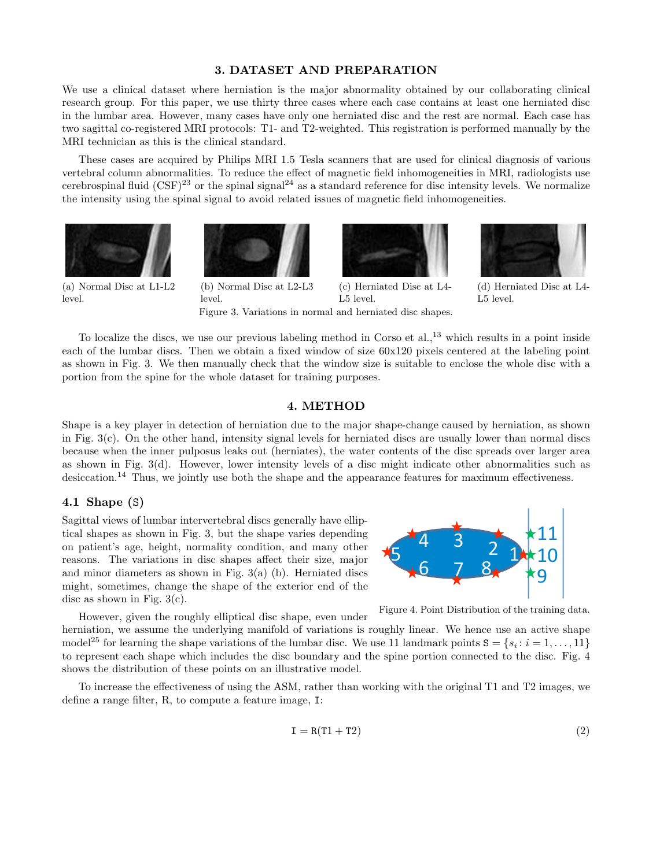## 3. DATASET AND PREPARATION

We use a clinical dataset where herniation is the major abnormality obtained by our collaborating clinical research group. For this paper, we use thirty three cases where each case contains at least one herniated disc in the lumbar area. However, many cases have only one herniated disc and the rest are normal. Each case has two sagittal co-registered MRI protocols: T1- and T2-weighted. This registration is performed manually by the MRI technician as this is the clinical standard.

These cases are acquired by Philips MRI 1.5 Tesla scanners that are used for clinical diagnosis of various vertebral column abnormalities. To reduce the effect of magnetic field inhomogeneities in MRI, radiologists use cerebrospinal fluid  $(CSF)^{23}$  or the spinal signal<sup>24</sup> as a standard reference for disc intensity levels. We normalize the intensity using the spinal signal to avoid related issues of magnetic field inhomogeneities.







(d) Herniated Disc at L4- L5 level.

(a) Normal Disc at L1-L2 level.

(b) Normal Disc at L2-L3 level.

(c) Herniated Disc at L4- L5 level. Figure 3. Variations in normal and herniated disc shapes.

To localize the discs, we use our previous labeling method in Corso et al.,<sup>13</sup> which results in a point inside each of the lumbar discs. Then we obtain a fixed window of size 60x120 pixels centered at the labeling point as shown in Fig. 3. We then manually check that the window size is suitable to enclose the whole disc with a portion from the spine for the whole dataset for training purposes.

## 4. METHOD

Shape is a key player in detection of herniation due to the major shape-change caused by herniation, as shown in Fig. 3(c). On the other hand, intensity signal levels for herniated discs are usually lower than normal discs because when the inner pulposus leaks out (herniates), the water contents of the disc spreads over larger area as shown in Fig. 3(d). However, lower intensity levels of a disc might indicate other abnormalities such as desiccation.<sup>14</sup> Thus, we jointly use both the shape and the appearance features for maximum effectiveness.

#### 4.1 Shape (S)

Sagittal views of lumbar intervertebral discs generally have elliptical shapes as shown in Fig. 3, but the shape varies depending on patient's age, height, normality condition, and many other reasons. The variations in disc shapes affect their size, major and minor diameters as shown in Fig. 3(a) (b). Herniated discs might, sometimes, change the shape of the exterior end of the disc as shown in Fig. 3(c).



Figure 4. Point Distribution of the training data.

However, given the roughly elliptical disc shape, even under herniation, we assume the underlying manifold of variations is roughly linear. We hence use an active shape model<sup>25</sup> for learning the shape variations of the lumbar disc. We use 11 landmark points  $S = \{s_i : i = 1, ..., 11\}$ to represent each shape which includes the disc boundary and the spine portion connected to the disc. Fig. 4 shows the distribution of these points on an illustrative model.

To increase the effectiveness of using the ASM, rather than working with the original T1 and T2 images, we define a range filter, R, to compute a feature image, I:

$$
\mathbf{I} = \mathbf{R}(\mathbf{T}1 + \mathbf{T}2) \tag{2}
$$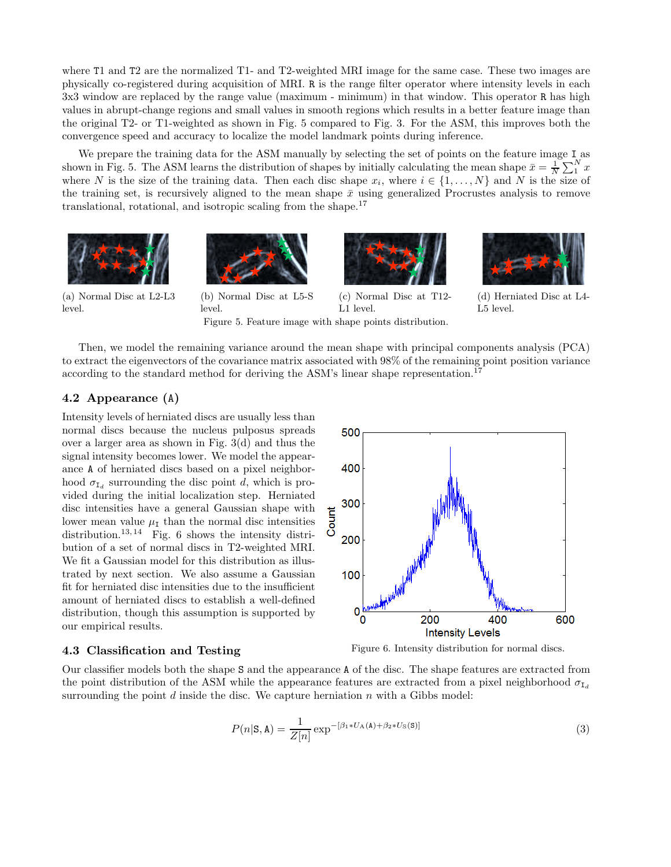where T1 and T2 are the normalized T1- and T2-weighted MRI image for the same case. These two images are physically co-registered during acquisition of MRI. R is the range filter operator where intensity levels in each 3x3 window are replaced by the range value (maximum - minimum) in that window. This operator R has high values in abrupt-change regions and small values in smooth regions which results in a better feature image than the original T2- or T1-weighted as shown in Fig. 5 compared to Fig. 3. For the ASM, this improves both the convergence speed and accuracy to localize the model landmark points during inference.

We prepare the training data for the ASM manually by selecting the set of points on the feature image I as shown in Fig. 5. The ASM learns the distribution of shapes by initially calculating the mean shape  $\bar{x} = \frac{1}{N} \sum_{1}^{N} x$ where N is the size of the training data. Then each disc shape  $x_i$ , where  $i \in \{1, ..., N\}$  and N is the size of the training set, is recursively aligned to the mean shape  $\bar{x}$  using generalized Procrustes analysis to remove translational, rotational, and isotropic scaling from the shape.<sup>17</sup>



(a) Normal Disc at L2-L3 level.



level.

(b) Normal Disc at L5-S (c) Normal Disc at T12- L1 level.



(d) Herniated Disc at L4- L5 level.

Then, we model the remaining variance around the mean shape with principal components analysis (PCA) to extract the eigenvectors of the covariance matrix associated with 98% of the remaining point position variance according to the standard method for deriving the ASM's linear shape representation.<sup>17</sup>

Figure 5. Feature image with shape points distribution.

# 4.2 Appearance (A)

Intensity levels of herniated discs are usually less than normal discs because the nucleus pulposus spreads over a larger area as shown in Fig. 3(d) and thus the signal intensity becomes lower. We model the appearance A of herniated discs based on a pixel neighborhood  $\sigma_{I_d}$  surrounding the disc point d, which is provided during the initial localization step. Herniated disc intensities have a general Gaussian shape with lower mean value  $\mu_I$  than the normal disc intensities distribution.<sup>13, 14</sup> Fig. 6 shows the intensity distribution of a set of normal discs in T2-weighted MRI. We fit a Gaussian model for this distribution as illustrated by next section. We also assume a Gaussian fit for herniated disc intensities due to the insufficient amount of herniated discs to establish a well-defined distribution, though this assumption is supported by our empirical results.

# 300 200 100 0 200 400 **Intensity Levels**

#### 4.3 Classification and Testing

Figure 6. Intensity distribution for normal discs.

Our classifier models both the shape S and the appearance A of the disc. The shape features are extracted from the point distribution of the ASM while the appearance features are extracted from a pixel neighborhood  $\sigma_{I_d}$ surrounding the point  $d$  inside the disc. We capture herniation  $n$  with a Gibbs model:

$$
P(n|S, A) = \frac{1}{Z[n]} \exp^{-[\beta_1 * U_A(A) + \beta_2 * U_S(S)]}
$$
\n(3)

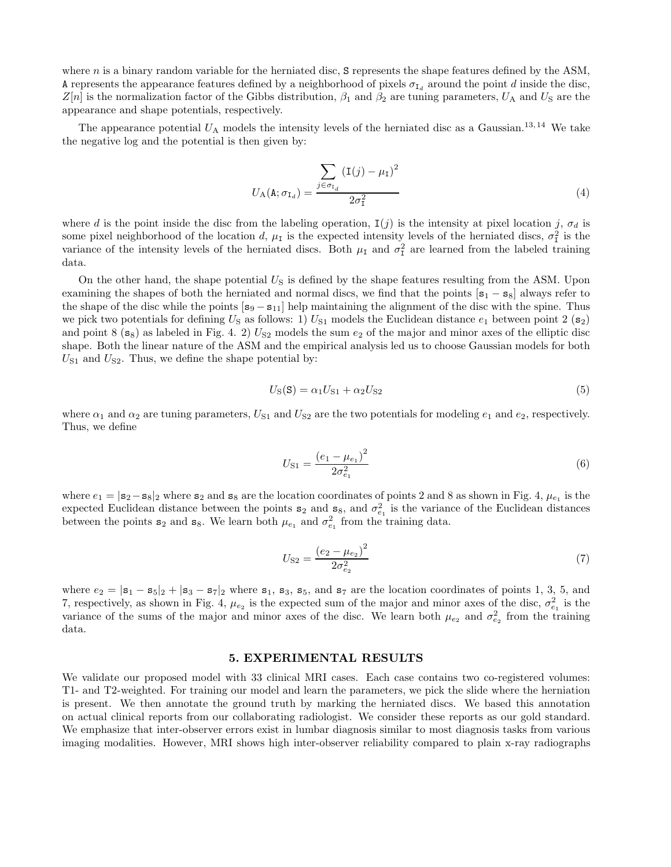where n is a binary random variable for the herniated disc, S represents the shape features defined by the ASM, A represents the appearance features defined by a neighborhood of pixels  $\sigma_{I_d}$  around the point d inside the disc,  $Z[n]$  is the normalization factor of the Gibbs distribution,  $\beta_1$  and  $\beta_2$  are tuning parameters,  $U_A$  and  $U_S$  are the appearance and shape potentials, respectively.

The appearance potential  $U_A$  models the intensity levels of the herniated disc as a Gaussian.<sup>13, 14</sup> We take the negative log and the potential is then given by:

$$
U_{\mathcal{A}}(\mathbf{A};\sigma_{\mathbf{I}_d}) = \frac{\sum_{j \in \sigma_{\mathbf{I}_d}} (\mathbf{I}(j) - \mu_{\mathbf{I}})^2}{2\sigma_{\mathbf{I}}^2}
$$
(4)

where d is the point inside the disc from the labeling operation,  $I(j)$  is the intensity at pixel location j,  $\sigma_d$  is some pixel neighborhood of the location d,  $\mu_I$  is the expected intensity levels of the herniated discs,  $\sigma_I^2$  is the variance of the intensity levels of the herniated discs. Both  $\mu_I$  and  $\sigma_I^2$  are learned from the labeled training data.

On the other hand, the shape potential  $U<sub>S</sub>$  is defined by the shape features resulting from the ASM. Upon examining the shapes of both the herniated and normal discs, we find that the points  $[s_1 - s_8]$  always refer to the shape of the disc while the points  $[s_9 - s_{11}]$  help maintaining the alignment of the disc with the spine. Thus we pick two potentials for defining  $U<sub>S</sub>$  as follows: 1)  $U<sub>S1</sub>$  models the Euclidean distance  $e<sub>1</sub>$  between point 2 (s<sub>2</sub>) and point  $8$  (s<sub>8</sub>) as labeled in Fig. 4. 2)  $U_{S2}$  models the sum  $e_2$  of the major and minor axes of the elliptic disc shape. Both the linear nature of the ASM and the empirical analysis led us to choose Gaussian models for both  $U_{S1}$  and  $U_{S2}$ . Thus, we define the shape potential by:

$$
US(S) = \alpha_1 US1 + \alpha_2 US2
$$
\n
$$
(5)
$$

where  $\alpha_1$  and  $\alpha_2$  are tuning parameters,  $U_{S1}$  and  $U_{S2}$  are the two potentials for modeling  $e_1$  and  $e_2$ , respectively. Thus, we define

$$
U_{\rm S1} = \frac{(e_1 - \mu_{e_1})^2}{2\sigma_{e_1}^2} \tag{6}
$$

where  $e_1 = |\mathbf{s}_2 - \mathbf{s}_8|_2$  where  $\mathbf{s}_2$  and  $\mathbf{s}_8$  are the location coordinates of points 2 and 8 as shown in Fig. 4,  $\mu_{e_1}$  is the expected Euclidean distance between the points  $s_2$  and  $s_8$ , and  $\sigma_{e_1}^2$  is the variance of the Euclidean distances between the points  $s_2$  and  $s_8$ . We learn both  $\mu_{e_1}$  and  $\sigma_{e_1}^2$  from the training data.

$$
U_{\text{S2}} = \frac{\left(e_2 - \mu_{e_2}\right)^2}{2\sigma_{e_2}^2} \tag{7}
$$

where  $e_2 = |\mathbf{s}_1 - \mathbf{s}_5|_2 + |\mathbf{s}_3 - \mathbf{s}_7|_2$  where  $\mathbf{s}_1$ ,  $\mathbf{s}_3$ ,  $\mathbf{s}_5$ , and  $\mathbf{s}_7$  are the location coordinates of points 1, 3, 5, and 7, respectively, as shown in Fig. 4,  $\mu_{e_2}$  is the expected sum of the major and minor axes of the disc,  $\sigma_{e_1}^2$  is the variance of the sums of the major and minor axes of the disc. We learn both  $\mu_{e_2}$  and  $\sigma_{e_2}^2$  from the training data.

#### 5. EXPERIMENTAL RESULTS

We validate our proposed model with 33 clinical MRI cases. Each case contains two co-registered volumes: T1- and T2-weighted. For training our model and learn the parameters, we pick the slide where the herniation is present. We then annotate the ground truth by marking the herniated discs. We based this annotation on actual clinical reports from our collaborating radiologist. We consider these reports as our gold standard. We emphasize that inter-observer errors exist in lumbar diagnosis similar to most diagnosis tasks from various imaging modalities. However, MRI shows high inter-observer reliability compared to plain x-ray radiographs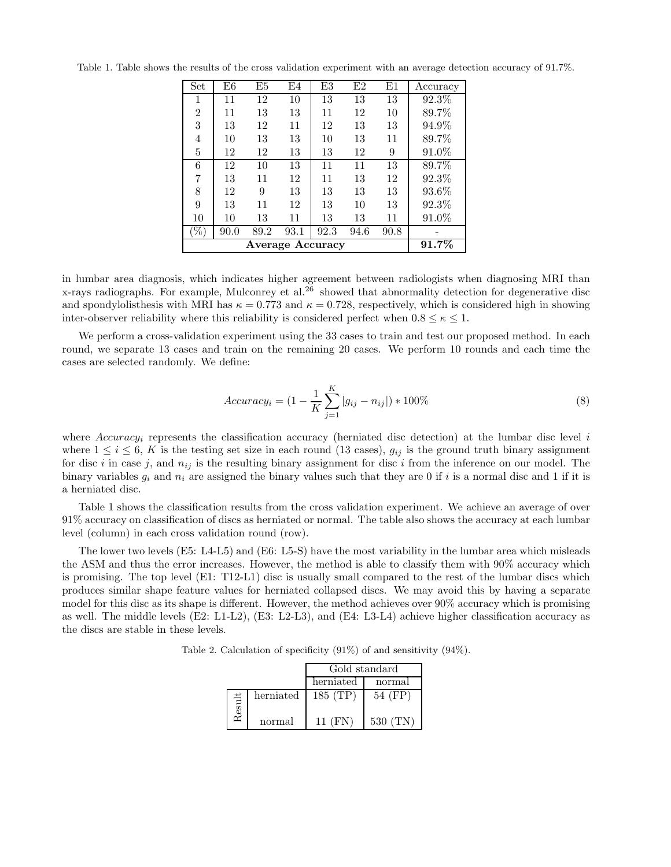| Set            | E6    | E5   | E4   | E3   | E2   | E1   | Accuracy |
|----------------|-------|------|------|------|------|------|----------|
| 1              | 11    | 12   | 10   | 13   | 13   | 13   | 92.3%    |
| $\overline{2}$ | 11    | 13   | 13   | 11   | 12   | 10   | 89.7%    |
| 3              | 13    | 12   | 11   | 12   | 13   | 13   | 94.9%    |
| $\overline{4}$ | 10    | 13   | 13   | 10   | 13   | 11   | 89.7%    |
| 5              | 12    | 12   | 13   | 13   | 12   | 9    | 91.0%    |
| 6              | 12    | 10   | 13   | 11   | 11   | 13   | 89.7%    |
| 7              | 13    | 11   | 12   | 11   | 13   | 12   | 92.3%    |
| 8              | 12    | 9    | 13   | 13   | 13   | 13   | $93.6\%$ |
| 9              | 13    | 11   | 12   | 13   | 10   | 13   | 92.3%    |
| 10             | 10    | 13   | 11   | 13   | 13   | 11   | 91.0%    |
| %              | 90.0  | 89.2 | 93.1 | 92.3 | 94.6 | 90.8 |          |
|                | 91.7% |      |      |      |      |      |          |

Table 1. Table shows the results of the cross validation experiment with an average detection accuracy of 91.7%.

in lumbar area diagnosis, which indicates higher agreement between radiologists when diagnosing MRI than x-rays radiographs. For example, Mulconrey et al.<sup>26</sup> showed that abnormality detection for degenerative disc and spondylolisthesis with MRI has  $\kappa = 0.773$  and  $\kappa = 0.728$ , respectively, which is considered high in showing inter-observer reliability where this reliability is considered perfect when  $0.8 \leq \kappa \leq 1$ .

We perform a cross-validation experiment using the 33 cases to train and test our proposed method. In each round, we separate 13 cases and train on the remaining 20 cases. We perform 10 rounds and each time the cases are selected randomly. We define:

$$
Accuracy_i = (1 - \frac{1}{K} \sum_{j=1}^{K} |g_{ij} - n_{ij}|) * 100\%
$$
\n(8)

where  $Accuracy_i$  represents the classification accuracy (herniated disc detection) at the lumbar disc level i where  $1 \leq i \leq 6$ , K is the testing set size in each round (13 cases),  $g_{ij}$  is the ground truth binary assignment for disc i in case j, and  $n_{ij}$  is the resulting binary assignment for disc i from the inference on our model. The binary variables  $q_i$  and  $n_i$  are assigned the binary values such that they are 0 if i is a normal disc and 1 if it is a herniated disc.

Table 1 shows the classification results from the cross validation experiment. We achieve an average of over 91% accuracy on classification of discs as herniated or normal. The table also shows the accuracy at each lumbar level (column) in each cross validation round (row).

The lower two levels (E5: L4-L5) and (E6: L5-S) have the most variability in the lumbar area which misleads the ASM and thus the error increases. However, the method is able to classify them with 90% accuracy which is promising. The top level (E1: T12-L1) disc is usually small compared to the rest of the lumbar discs which produces similar shape feature values for herniated collapsed discs. We may avoid this by having a separate model for this disc as its shape is different. However, the method achieves over 90% accuracy which is promising as well. The middle levels (E2: L1-L2), (E3: L2-L3), and (E4: L3-L4) achieve higher classification accuracy as the discs are stable in these levels.

Table 2. Calculation of specificity (91%) of and sensitivity (94%).

|      |           | Gold standard |         |  |  |
|------|-----------|---------------|---------|--|--|
|      |           | herniated     | normal  |  |  |
| sult | herniated | 185 (TP)      | 54 (FP) |  |  |
|      | normal    | 11 (FN)       | 530(TN) |  |  |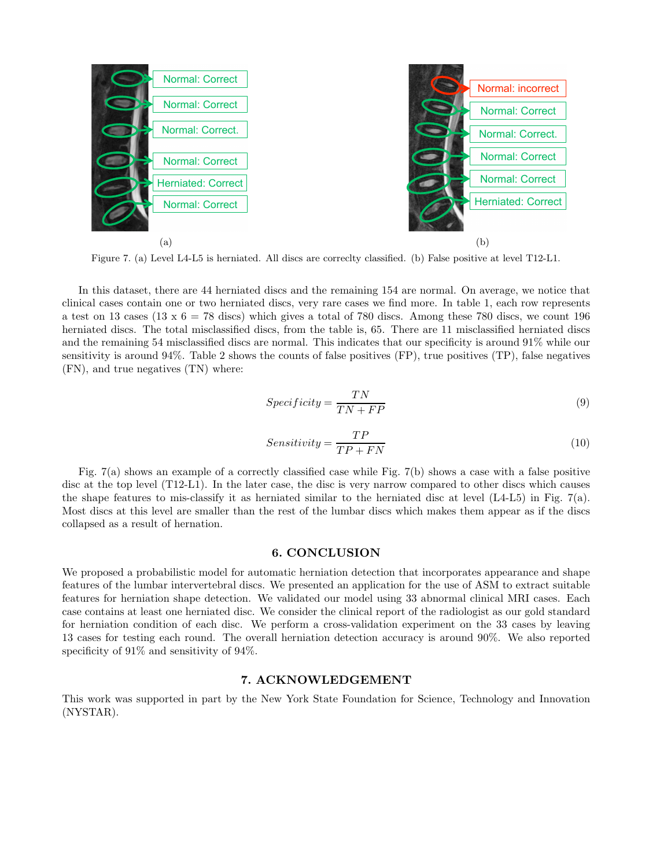

Figure 7. (a) Level L4-L5 is herniated. All discs are correclty classified. (b) False positive at level T12-L1.

In this dataset, there are 44 herniated discs and the remaining 154 are normal. On average, we notice that clinical cases contain one or two herniated discs, very rare cases we find more. In table 1, each row represents a test on 13 cases (13 x  $6 = 78$  discs) which gives a total of 780 discs. Among these 780 discs, we count 196 herniated discs. The total misclassified discs, from the table is, 65. There are 11 misclassified herniated discs and the remaining 54 misclassified discs are normal. This indicates that our specificity is around 91% while our sensitivity is around 94%. Table 2 shows the counts of false positives (FP), true positives (TP), false negatives (FN), and true negatives (TN) where:

$$
Specificity = \frac{TN}{TN + FP}
$$
\n<sup>(9)</sup>

$$
Sensitivity = \frac{TP}{TP + FN}
$$
\n<sup>(10)</sup>

Fig. 7(a) shows an example of a correctly classified case while Fig. 7(b) shows a case with a false positive disc at the top level (T12-L1). In the later case, the disc is very narrow compared to other discs which causes the shape features to mis-classify it as herniated similar to the herniated disc at level (L4-L5) in Fig. 7(a). Most discs at this level are smaller than the rest of the lumbar discs which makes them appear as if the discs collapsed as a result of hernation.

#### 6. CONCLUSION

We proposed a probabilistic model for automatic herniation detection that incorporates appearance and shape features of the lumbar intervertebral discs. We presented an application for the use of ASM to extract suitable features for herniation shape detection. We validated our model using 33 abnormal clinical MRI cases. Each case contains at least one herniated disc. We consider the clinical report of the radiologist as our gold standard for herniation condition of each disc. We perform a cross-validation experiment on the 33 cases by leaving 13 cases for testing each round. The overall herniation detection accuracy is around 90%. We also reported specificity of  $91\%$  and sensitivity of  $94\%$ .

# 7. ACKNOWLEDGEMENT

This work was supported in part by the New York State Foundation for Science, Technology and Innovation (NYSTAR).